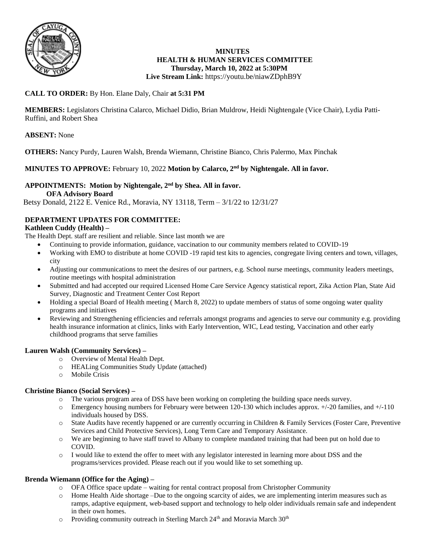

#### **MINUTES HEALTH & HUMAN SERVICES COMMITTEE Thursday, March 10, 2022 at 5:30PM Live Stream Link:** <https://youtu.be/niawZDphB9Y>

# **CALL TO ORDER:** By Hon. Elane Daly, Chair **at 5:31 PM**

**MEMBERS:** Legislators Christina Calarco, Michael Didio, Brian Muldrow, Heidi Nightengale (Vice Chair), Lydia Patti-Ruffini, and Robert Shea

**ABSENT:** None

**OTHERS:** Nancy Purdy, Lauren Walsh, Brenda Wiemann, Christine Bianco, Chris Palermo, Max Pinchak

## **MINUTES TO APPROVE:** February 10, 2022 **Motion by Calarco, 2nd by Nightengale. All in favor.**

#### **APPOINTMENTS: Motion by Nightengale, 2nd by Shea. All in favor. OFA Advisory Board**

Betsy Donald, 2122 E. Venice Rd., Moravia, NY 13118, Term – 3/1/22 to 12/31/27

## **DEPARTMENT UPDATES FOR COMMITTEE:**

# **Kathleen Cuddy (Health) –**

The Health Dept. staff are resilient and reliable. Since last month we are

- Continuing to provide information, guidance, vaccination to our community members related to COVID-19
- Working with EMO to distribute at home COVID -19 rapid test kits to agencies, congregate living centers and town, villages, city
- Adjusting our communications to meet the desires of our partners, e.g. School nurse meetings, community leaders meetings, routine meetings with hospital administration
- Submitted and had accepted our required Licensed Home Care Service Agency statistical report, Zika Action Plan, State Aid Survey, Diagnostic and Treatment Center Cost Report
- Holding a special Board of Health meeting ( March 8, 2022) to update members of status of some ongoing water quality programs and initiatives
- Reviewing and Strengthening efficiencies and referrals amongst programs and agencies to serve our community e.g. providing health insurance information at clinics, links with Early Intervention, WIC, Lead testing, Vaccination and other early childhood programs that serve families

### **Lauren Walsh (Community Services) –**

- o Overview of Mental Health Dept.
- o HEALing Communities Study Update (attached)
- o Mobile Crisis

### **Christine Bianco (Social Services) –**

- o The various program area of DSS have been working on completing the building space needs survey.
- o Emergency housing numbers for February were between 120-130 which includes approx. +/-20 families, and +/-110 individuals housed by DSS.
- o State Audits have recently happened or are currently occurring in Children & Family Services (Foster Care, Preventive Services and Child Protective Services), Long Term Care and Temporary Assistance.
- o We are beginning to have staff travel to Albany to complete mandated training that had been put on hold due to COVID.
- o I would like to extend the offer to meet with any legislator interested in learning more about DSS and the programs/services provided. Please reach out if you would like to set something up.

### **Brenda Wiemann (Office for the Aging) –**

- o OFA Office space update waiting for rental contract proposal from Christopher Community
- o Home Health Aide shortage –Due to the ongoing scarcity of aides, we are implementing interim measures such as ramps, adaptive equipment, web-based support and technology to help older individuals remain safe and independent in their own homes.
- $\circ$  Providing community outreach in Sterling March 24<sup>th</sup> and Moravia March 30<sup>th</sup>